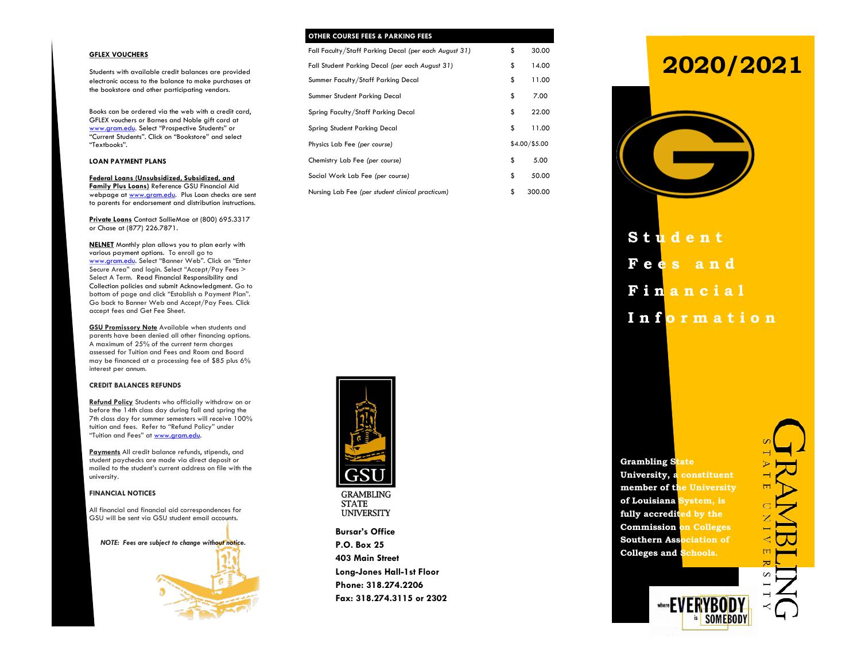### **GFLEX VOUCHERS**

Students with available credit balances are provided electronic access to the balance to make purchases at the bookstore and other participating vendors.

Books can be ordered via the web with a credit card, GFLEX vouchers or Barnes and Noble gift card at www.gram.edu. Select "Prospective Students" or "Current Students". Click on "Bookstore" and select "Textbooks".

### **LOAN PAYMENT PLANS**

**Federal Loans (Unsubsidized, Subsidized, and Family Plus Loans)** Reference GSU Financial Aid webpage at www.gram.edu. Plus Loan checks are sent to parents for endorsement and distribution instructions.

**Private Loans** Contact SallieMae at (800) 695.3317 or Chase at (877) 226.7871.

**NELNET** Monthly plan allows you to plan early with various payment options. To enroll go to www.gram.edu. Select "Banner Web". Click on "Enter Secure Area" and login. Select "Accept/Pay Fees > Select A Term. Read Financial Responsibility and Collection policies and submit Acknowledgment. Go to bottom of page and click "Establish a Payment Plan". Go back to Banner Web and Accept/Pay Fees. Click accept fees and Get Fee Sheet.

**GSU Promissory Note** Available when students and parents have been denied all other financing options. A maximum of 25% of the current term charges assessed for Tuition and Fees and Room and Board may be financed at a processing fee of \$85 plus 6% interest per annum.

### **CREDIT BALANCES REFUNDS**

**Refund Policy** Students who officially withdraw on or before the 14th class day during fall and spring the 7th class day for summer semesters will receive 100% tuition and fees. Refer to "Refund Policy" under "Tuition and Fees" at www.gram.edu.

**Payments** All credit balance refunds, stipends, and student paychecks are made via direct deposit or mailed to the student's current address on file with the university.

### **FINANCIAL NOTICES**

All financial and financial aid correspondences for GSU will be sent via GSU student email accounts.

*NOTE: Fees are subject to change without notice.*



| <b>OTHER COURSE FEES &amp; PARKING FEES</b>           |               |
|-------------------------------------------------------|---------------|
| Fall Faculty/Staff Parking Decal (per each August 31) | \$<br>30.00   |
| Fall Student Parking Decal (per each August 31)       | \$<br>14.00   |
| Summer Faculty/Staff Parking Decal                    | \$<br>11.00   |
| Summer Student Parking Decal                          | \$<br>7.00    |
| Spring Faculty/Staff Parking Decal                    | \$<br>22.00   |
| Spring Student Parking Decal                          | \$<br>11.00   |
| Physics Lab Fee (per course)                          | \$4.00/\$5.00 |
| Chemistry Lab Fee (per course)                        | \$<br>5.00    |
| Social Work Lab Fee (per course)                      | \$<br>50.00   |
| Nursing Lab Fee (per student clinical practicum)      | \$<br>300.00  |



**GRAMBLING STATE UNIVERSITY** 

**Bursar's Office P.O. Box 25 403 Main Street Long-Jones Hall-1st Floor Phone: 318.274.2206 Fax: 318.274.3115 or 2302**

# **2020/2021**



**S t u d e n t F e e s a n d F i n a n c i a l I n f o r m a t i o n**

**Grambling State University, a constituent member of the University of Louisiana System, is fully accredited by the Commission on Colleges Southern Association of Colleges and Schools.**

where **FVF** 

**SOMFROD**